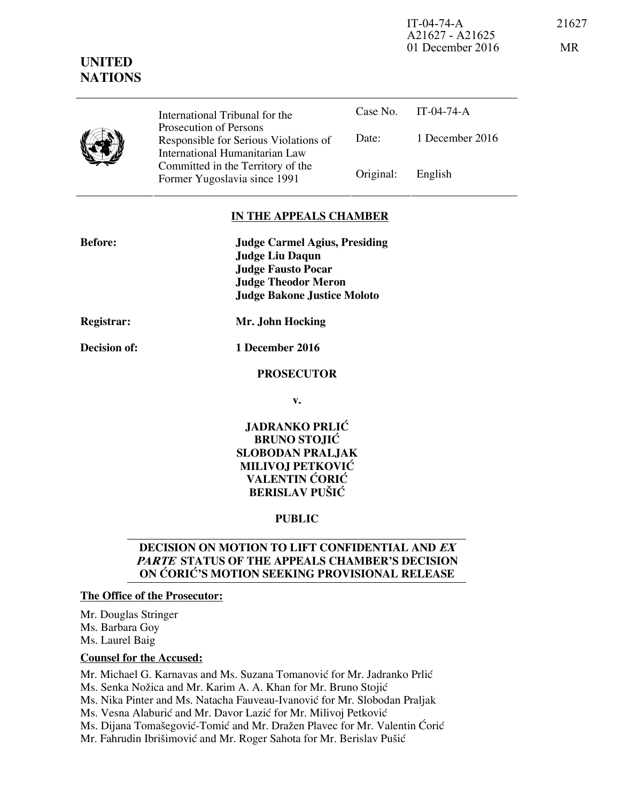IT-04-74-A 21627 A21627 - A21625 01 December 2016 MR

| Y | International Tribunal for the                                                                    |           | Case No. IT-04-74-A |
|---|---------------------------------------------------------------------------------------------------|-----------|---------------------|
|   | Prosecution of Persons<br>Responsible for Serious Violations of<br>International Humanitarian Law | Date:     | 1 December 2016     |
|   | Committed in the Territory of the<br>Former Yugoslavia since 1991                                 | Original: | English             |

## **IN THE APPEALS CHAMBER**

| <b>Before:</b> | <b>Judge Carmel Agius, Presiding</b> |  |  |
|----------------|--------------------------------------|--|--|
|                | <b>Judge Liu Daqun</b>               |  |  |
|                | <b>Judge Fausto Pocar</b>            |  |  |
|                | <b>Judge Theodor Meron</b>           |  |  |
|                | <b>Judge Bakone Justice Moloto</b>   |  |  |
| Registrar:     | Mr. John Hocking                     |  |  |

**Decision of: 1 December 2016** 

# **PROSECUTOR**

**v.** 

# **JADRANKO PRLIĆ BRUNO STOJIĆ SLOBODAN PRALJAK MILIVOJ PETKOVIĆ VALENTIN ĆORIĆ BERISLAV PUŠIĆ**

# **PUBLIC**

# **DECISION ON MOTION TO LIFT CONFIDENTIAL AND EX PARTE STATUS OF THE APPEALS CHAMBER'S DECISION ON ĆORIĆ'S MOTION SEEKING PROVISIONAL RELEASE**

#### **The Office of the Prosecutor:**

Mr. Douglas Stringer Ms. Barbara Goy Ms. Laurel Baig

#### **Counsel for the Accused:**

Mr. Michael G. Karnavas and Ms. Suzana Tomanović for Mr. Jadranko Prlić Ms. Senka Nožica and Mr. Karim A. A. Khan for Mr. Bruno Stojić Ms. Nika Pinter and Ms. Natacha Fauveau-Ivanović for Mr. Slobodan Praljak Ms. Vesna Alaburić and Mr. Davor Lazić for Mr. Milivoj Petković Ms. Dijana Tomašegović-Tomić and Mr. Dražen Plavec for Mr. Valentin Ćorić Mr. Fahrudin Ibrišimović and Mr. Roger Sahota for Mr. Berislav Pušić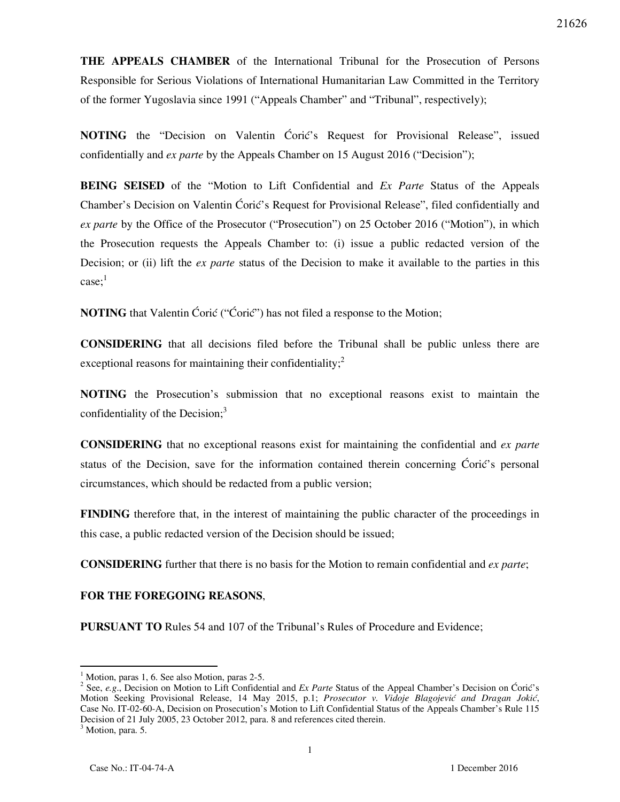**THE APPEALS CHAMBER** of the International Tribunal for the Prosecution of Persons Responsible for Serious Violations of International Humanitarian Law Committed in the Territory of the former Yugoslavia since 1991 ("Appeals Chamber" and "Tribunal", respectively);

**NOTING** the "Decision on Valentin Ćorić's Request for Provisional Release", issued confidentially and *ex parte* by the Appeals Chamber on 15 August 2016 ("Decision");

**BEING SEISED** of the "Motion to Lift Confidential and *Ex Parte* Status of the Appeals Chamber's Decision on Valentin Ćorić's Request for Provisional Release", filed confidentially and *ex parte* by the Office of the Prosecutor ("Prosecution") on 25 October 2016 ("Motion"), in which the Prosecution requests the Appeals Chamber to: (i) issue a public redacted version of the Decision; or (ii) lift the *ex parte* status of the Decision to make it available to the parties in this  $case:<sup>1</sup>$ 

**NOTING** that Valentin Ćorić ("Ćorić") has not filed a response to the Motion;

**CONSIDERING** that all decisions filed before the Tribunal shall be public unless there are exceptional reasons for maintaining their confidentiality; $\frac{2}{3}$ 

**NOTING** the Prosecution's submission that no exceptional reasons exist to maintain the confidentiality of the Decision; $3$ 

**CONSIDERING** that no exceptional reasons exist for maintaining the confidential and *ex parte* status of the Decision, save for the information contained therein concerning  $\acute{C}$ orić's personal circumstances, which should be redacted from a public version;

**FINDING** therefore that, in the interest of maintaining the public character of the proceedings in this case, a public redacted version of the Decision should be issued;

**CONSIDERING** further that there is no basis for the Motion to remain confidential and *ex parte*;

#### **FOR THE FOREGOING REASONS**,

**PURSUANT TO** Rules 54 and 107 of the Tribunal's Rules of Procedure and Evidence;

-

<sup>&</sup>lt;sup>1</sup> Motion, paras 1, 6. See also Motion, paras 2-5.

<sup>&</sup>lt;sup>2</sup> See, *e.g.*, Decision on Motion to Lift Confidential and *Ex Parte* Status of the Appeal Chamber's Decision on Ćorić's Motion Seeking Provisional Release, 14 May 2015, p.1; *Prosecutor v. Vidoje Blagojević and Dragan Jokić*, Case No. IT-02-60-A, Decision on Prosecution's Motion to Lift Confidential Status of the Appeals Chamber's Rule 115 Decision of 21 July 2005, 23 October 2012, para. 8 and references cited therein.

<sup>&</sup>lt;sup>3</sup> Motion, para. 5.